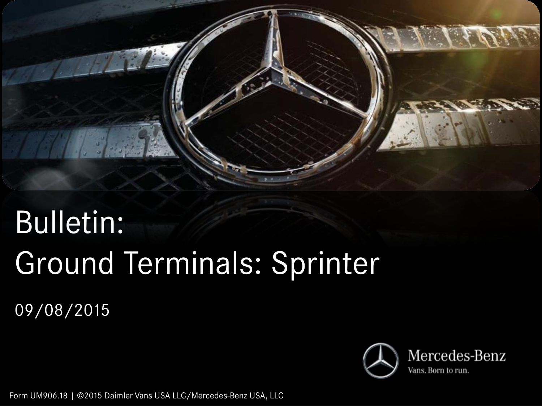

# Bulletin: Ground Terminals: Sprinter

09/08/2015



Form UM906.18 | ©2015 Daimler Vans USA LLC/Mercedes-Benz USA, LLC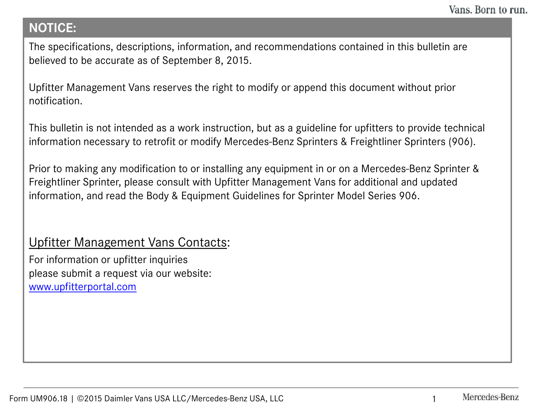#### **NOTICE:**

The specifications, descriptions, information, and recommendations contained in this bulletin are believed to be accurate as of September 8, 2015.

Upfitter Management Vans reserves the right to modify or append this document without prior notification.

This bulletin is not intended as a work instruction, but as a guideline for upfitters to provide technical information necessary to retrofit or modify Mercedes-Benz Sprinters & Freightliner Sprinters (906).

Prior to making any modification to or installing any equipment in or on a Mercedes-Benz Sprinter & Freightliner Sprinter, please consult with Upfitter Management Vans for additional and updated information, and read the Body & Equipment Guidelines for Sprinter Model Series 906.

#### Upfitter Management Vans Contacts:

For information or upfitter inquiries please submit a request via our website: [www.upfitterportal.com](http://www.upfitterportalcom/)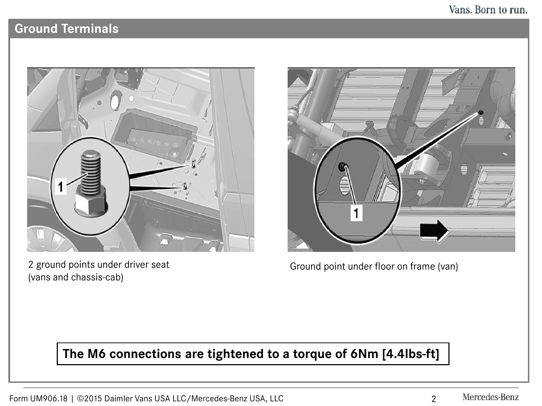#### Vans. Born to run.

### **Ground Terminals**



2 ground points under driver seat (vans and chassis-cab)



Ground point under floor on frame (van)

## **The M6 connections are tightened to a torque of 6Nm [4.4lbs-ft]**